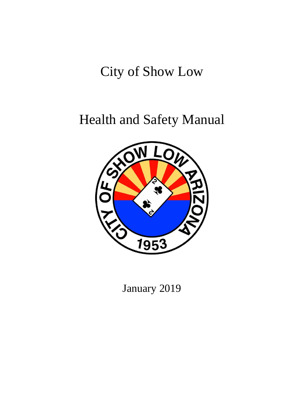# City of Show Low

# Health and Safety Manual



January 2019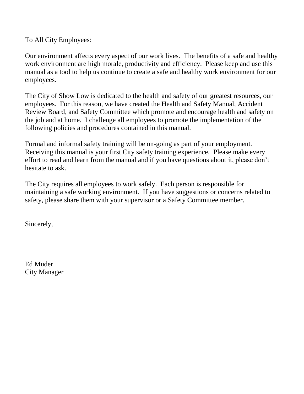To All City Employees:

Our environment affects every aspect of our work lives. The benefits of a safe and healthy work environment are high morale, productivity and efficiency. Please keep and use this manual as a tool to help us continue to create a safe and healthy work environment for our employees.

The City of Show Low is dedicated to the health and safety of our greatest resources, our employees. For this reason, we have created the Health and Safety Manual, Accident Review Board, and Safety Committee which promote and encourage health and safety on the job and at home. I challenge all employees to promote the implementation of the following policies and procedures contained in this manual.

Formal and informal safety training will be on-going as part of your employment. Receiving this manual is your first City safety training experience. Please make every effort to read and learn from the manual and if you have questions about it, please don't hesitate to ask.

The City requires all employees to work safely. Each person is responsible for maintaining a safe working environment. If you have suggestions or concerns related to safety, please share them with your supervisor or a Safety Committee member.

Sincerely,

Ed Muder City Manager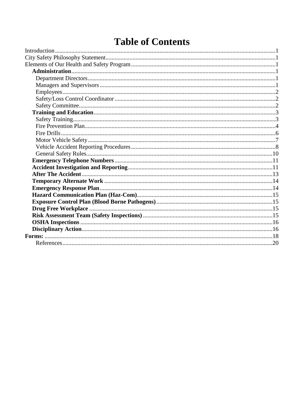## **Table of Contents**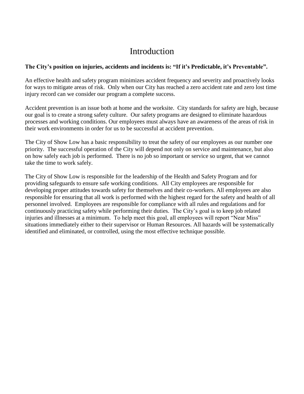## Introduction

#### **The City's position on injuries, accidents and incidents is: "If it's Predictable, it's Preventable".**

An effective health and safety program minimizes accident frequency and severity and proactively looks for ways to mitigate areas of risk. Only when our City has reached a zero accident rate and zero lost time injury record can we consider our program a complete success.

Accident prevention is an issue both at home and the worksite. City standards for safety are high, because our goal is to create a strong safety culture. Our safety programs are designed to eliminate hazardous processes and working conditions. Our employees must always have an awareness of the areas of risk in their work environments in order for us to be successful at accident prevention.

The City of Show Low has a basic responsibility to treat the safety of our employees as our number one priority. The successful operation of the City will depend not only on service and maintenance, but also on how safely each job is performed. There is no job so important or service so urgent, that we cannot take the time to work safely.

The City of Show Low is responsible for the leadership of the Health and Safety Program and for providing safeguards to ensure safe working conditions. All City employees are responsible for developing proper attitudes towards safety for themselves and their co-workers. All employees are also responsible for ensuring that all work is performed with the highest regard for the safety and health of all personnel involved. Employees are responsible for compliance with all rules and regulations and for continuously practicing safety while performing their duties. The City's goal is to keep job related injuries and illnesses at a minimum. To help meet this goal, all employees will report "Near Miss" situations immediately either to their supervisor or Human Resources. All hazards will be systematically identified and eliminated, or controlled, using the most effective technique possible.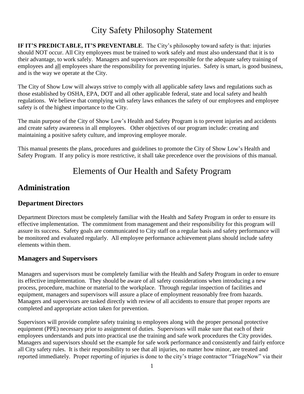## City Safety Philosophy Statement

**IF IT'S PREDICTABLE, IT'S PREVENTABLE**. The City's philosophy toward safety is that: injuries should NOT occur. All City employees must be trained to work safely and must also understand that it is to their advantage, to work safely. Managers and supervisors are responsible for the adequate safety training of employees and all employees share the responsibility for preventing injuries. Safety is smart, is good business, and is the way we operate at the City.

The City of Show Low will always strive to comply with all applicable safety laws and regulations such as those established by OSHA, EPA, DOT and all other applicable federal, state and local safety and health regulations. We believe that complying with safety laws enhances the safety of our employees and employee safety is of the highest importance to the City.

The main purpose of the City of Show Low's Health and Safety Program is to prevent injuries and accidents and create safety awareness in all employees. Other objectives of our program include: creating and maintaining a positive safety culture, and improving employee morale.

This manual presents the plans, procedures and guidelines to promote the City of Show Low's Health and Safety Program. If any policy is more restrictive, it shall take precedence over the provisions of this manual.

## Elements of Our Health and Safety Program

## **Administration**

#### **Department Directors**

Department Directors must be completely familiar with the Health and Safety Program in order to ensure its effective implementation. The commitment from management and their responsibility for this program will assure its success. Safety goals are communicated to City staff on a regular basis and safety performance will be monitored and evaluated regularly. All employee performance achievement plans should include safety elements within them.

#### **Managers and Supervisors**

Managers and supervisors must be completely familiar with the Health and Safety Program in order to ensure its effective implementation. They should be aware of all safety considerations when introducing a new process, procedure, machine or material to the workplace. Through regular inspection of facilities and equipment, managers and supervisors will assure a place of employment reasonably free from hazards. Managers and supervisors are tasked directly with review of all accidents to ensure that proper reports are completed and appropriate action taken for prevention.

Supervisors will provide complete safety training to employees along with the proper personal protective equipment (PPE) necessary prior to assignment of duties. Supervisors will make sure that each of their employees understands and puts into practical use the training and safe work procedures the City provides. Managers and supervisors should set the example for safe work performance and consistently and fairly enforce all City safety rules. It is their responsibility to see that all injuries, no matter how minor, are treated and reported immediately. Proper reporting of injuries is done to the city's triage contractor "TriageNow" via their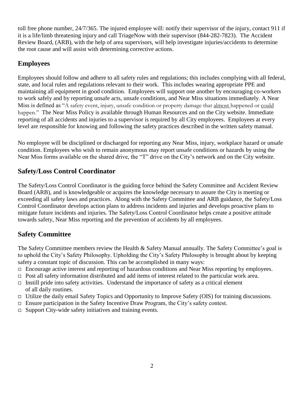toll free phone number, 24/7/365. The injured employee will: notify their supervisor of the injury, contact 911 if it is a life/limb threatening injury and call TriageNow with their supervisor (844-282-7823). The Accident Review Board, (ARB), with the help of area supervisors, will help investigate injuries/accidents to determine the root cause and will assist with determining corrective actions.

#### **Employees**

Employees should follow and adhere to all safety rules and regulations; this includes complying with all federal, state, and local rules and regulations relevant to their work. This includes wearing appropriate PPE and maintaining all equipment in good condition. Employees will support one another by encouraging co-workers to work safely and by reporting unsafe acts, unsafe conditions, and Near Miss situations immediately. A Near Miss is defined as "A safety event, injury, unsafe condition or property damage that almost happened or could happen." The Near Miss Policy is available through Human Resources and on the City website. Immediate reporting of all accidents and injuries to a supervisor is required by all City employees. Employees at every level are responsible for knowing and following the safety practices described in the written safety manual.

No employee will be disciplined or discharged for reporting any Near Miss, injury, workplace hazard or unsafe condition. Employees who wish to remain anonymous may report unsafe conditions or hazards by using the Near Miss forms available on the shared drive, the "T" drive on the City's network and on the City website.

#### **Safety/Loss Control Coordinator**

The Safety/Loss Control Coordinator is the guiding force behind the Safety Committee and Accident Review Board (ARB), and is knowledgeable or acquires the knowledge necessary to assure the City is meeting or exceeding all safety laws and practices. Along with the Safety Committee and ARB guidance, the Safety/Loss Control Coordinator develops action plans to address incidents and injuries and develops proactive plans to mitigate future incidents and injuries. The Safety/Loss Control Coordinator helps create a positive attitude towards safety, Near Miss reporting and the prevention of accidents by all employees.

#### **Safety Committee**

The Safety Committee members review the Health & Safety Manual annually. The Safety Committee's goal is to uphold the City's Safety Philosophy. Upholding the City's Safety Philosophy is brought about by keeping safety a constant topic of discussion. This can be accomplished in many ways:

- $\Box$  Encourage active interest and reporting of hazardous conditions and Near Miss reporting by employees.
- $\Box$  Post all safety information distributed and add items of interest related to the particular work area.
- $\Box$  Instill pride into safety activities. Understand the importance of safety as a critical element of all daily routines.
- $\Box$  Utilize the daily email Safety Topics and Opportunity to Improve Safety (OIS) for training discussions.
- $\Box$  Ensure participation in the Safety Incentive Draw Program, the City's safety contest.
- $\Box$  Support City-wide safety initiatives and training events.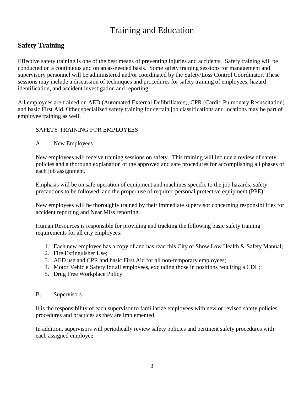## Training and Education

#### **Safety Training**

Effective safety training is one of the best means of preventing injuries and accidents. Safety training will be conducted on a continuous and on an as-needed basis. Some safety training sessions for management and supervisory personnel will be administered and/or coordinated by the Safety/Loss Control Coordinator. These sessions may include a discussion of techniques and procedures for safety training of employees, hazard identification, and accident investigation and reporting.

All employees are trained on AED (Automated External Defibrillators), CPR (Cardio Pulmonary Resuscitation) and basic First Aid. Other specialized safety training for certain job classifications and locations may be part of employee training as well.

#### SAFETY TRAINING FOR EMPLOYEES

A. New Employees

New employees will receive training sessions on safety. This training will include a review of safety policies and a thorough explanation of the approved and safe procedures for accomplishing all phases of each job assignment.

Emphasis will be on safe operation of equipment and machines specific to the job hazards, safety precautions to be followed, and the proper use of required personal protective equipment (PPE).

New employees will be thoroughly trained by their immediate supervisor concerning responsibilities for accident reporting and Near Miss reporting.

Human Resources is responsible for providing and tracking the following basic safety training requirements for all city employees:

- 1. Each new employee has a copy of and has read this City of Show Low Health & Safety Manual;
- 2. Fire Extinguisher Use;
- 3. AED use and CPR and basic First Aid for all non-temporary employees;
- 4. Motor Vehicle Safety for all employees, excluding those in positions requiring a CDL;
- 5. Drug Free Workplace Policy.

#### B. Supervisors

It is the responsibility of each supervisor to familiarize employees with new or revised safety policies, procedures and practices as they are implemented.

In addition, supervisors will periodically review safety policies and pertinent safety procedures with each assigned employee.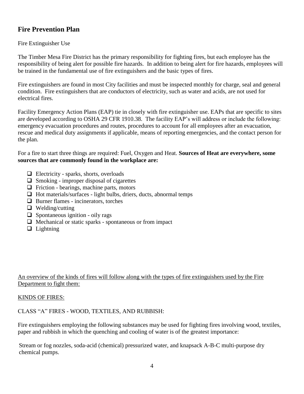#### **Fire Prevention Plan**

#### Fire Extinguisher Use

The Timber Mesa Fire District has the primary responsibility for fighting fires, but each employee has the responsibility of being alert for possible fire hazards. In addition to being alert for fire hazards, employees will be trained in the fundamental use of fire extinguishers and the basic types of fires.

Fire extinguishers are found in most City facilities and must be inspected monthly for charge, seal and general condition. Fire extinguishers that are conductors of electricity, such as water and acids, are not used for electrical fires.

Facility Emergency Action Plans (EAP) tie in closely with fire extinguisher use. EAPs that are specific to sites are developed according to OSHA 29 CFR 1910.38. The facility EAP's will address or include the following: emergency evacuation procedures and routes, procedures to account for all employees after an evacuation, rescue and medical duty assignments if applicable, means of reporting emergencies, and the contact person for the plan.

For a fire to start three things are required: Fuel, Oxygen and Heat. **Sources of Heat are everywhere, some sources that are commonly found in the workplace are:**

- $\Box$  Electricity sparks, shorts, overloads
- $\Box$  Smoking improper disposal of cigarettes
- $\Box$  Friction bearings, machine parts, motors
- $\Box$  Hot materials/surfaces light bulbs, driers, ducts, abnormal temps
- $\Box$  Burner flames incinerators, torches
- $\Box$  Welding/cutting
- $\Box$  Spontaneous ignition oily rags
- $\Box$  Mechanical or static sparks spontaneous or from impact
- $\Box$  Lightning

#### An overview of the kinds of fires will follow along with the types of fire extinguishers used by the Fire Department to fight them:

#### KINDS OF FIRES:

CLASS "A" FIRES - WOOD, TEXTILES, AND RUBBISH:

Fire extinguishers employing the following substances may be used for fighting fires involving wood, textiles, paper and rubbish in which the quenching and cooling of water is of the greatest importance:

Stream or fog nozzles, soda-acid (chemical) pressurized water, and knapsack A-B-C multi-purpose dry chemical pumps.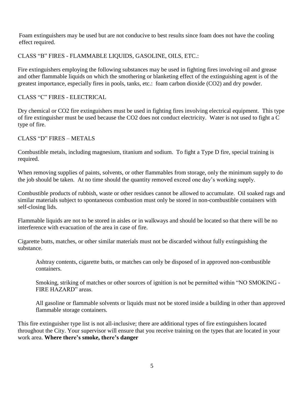Foam extinguishers may be used but are not conducive to best results since foam does not have the cooling effect required.

CLASS "B" FIRES - FLAMMABLE LIQUIDS, GASOLINE, OILS, ETC.:

Fire extinguishers employing the following substances may be used in fighting fires involving oil and grease and other flammable liquids on which the smothering or blanketing effect of the extinguishing agent is of the greatest importance, especially fires in pools, tanks, etc.: foam carbon dioxide (CO2) and dry powder.

CLASS "C" FIRES - ELECTRICAL

Dry chemical or CO2 fire extinguishers must be used in fighting fires involving electrical equipment. This type of fire extinguisher must be used because the CO2 does not conduct electricity. Water is not used to fight a C type of fire.

CLASS "D" FIRES – METALS

Combustible metals, including magnesium, titanium and sodium. To fight a Type D fire, special training is required.

When removing supplies of paints, solvents, or other flammables from storage, only the minimum supply to do the job should be taken. At no time should the quantity removed exceed one day's working supply.

Combustible products of rubbish, waste or other residues cannot be allowed to accumulate. Oil soaked rags and similar materials subject to spontaneous combustion must only be stored in non-combustible containers with self-closing lids.

Flammable liquids are not to be stored in aisles or in walkways and should be located so that there will be no interference with evacuation of the area in case of fire.

Cigarette butts, matches, or other similar materials must not be discarded without fully extinguishing the substance.

Ashtray contents, cigarette butts, or matches can only be disposed of in approved non-combustible containers.

Smoking, striking of matches or other sources of ignition is not be permitted within "NO SMOKING - FIRE HAZARD" areas.

All gasoline or flammable solvents or liquids must not be stored inside a building in other than approved flammable storage containers.

This fire extinguisher type list is not all-inclusive; there are additional types of fire extinguishers located throughout the City. Your supervisor will ensure that you receive training on the types that are located in your work area. **Where there's smoke, there's danger**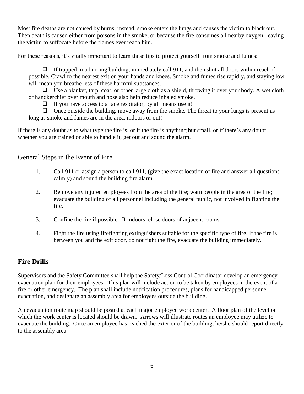Most fire deaths are not caused by burns; instead, smoke enters the lungs and causes the victim to black out. Then death is caused either from poisons in the smoke, or because the fire consumes all nearby oxygen, leaving the victim to suffocate before the flames ever reach him.

For these reasons, it's vitally important to learn these tips to protect yourself from smoke and fumes:

 $\Box$  If trapped in a burning building, immediately call 911, and then shut all doors within reach if possible. Crawl to the nearest exit on your hands and knees. Smoke and fumes rise rapidly, and staying low will mean you breathe less of these harmful substances.

 $\Box$  Use a blanket, tarp, coat, or other large cloth as a shield, throwing it over your body. A wet cloth or handkerchief over mouth and nose also help reduce inhaled smoke.

 $\Box$  If you have access to a face respirator, by all means use it!

 $\Box$  Once outside the building, move away from the smoke. The threat to your lungs is present as long as smoke and fumes are in the area, indoors or out!

If there is any doubt as to what type the fire is, or if the fire is anything but small, or if there's any doubt whether you are trained or able to handle it, get out and sound the alarm.

#### General Steps in the Event of Fire

- 1. Call 911 or assign a person to call 911, (give the exact location of fire and answer all questions calmly) and sound the building fire alarm.
- 2. Remove any injured employees from the area of the fire; warn people in the area of the fire; evacuate the building of all personnel including the general public, not involved in fighting the fire.
- 3. Confine the fire if possible. If indoors, close doors of adjacent rooms.
- 4. Fight the fire using firefighting extinguishers suitable for the specific type of fire. If the fire is between you and the exit door, do not fight the fire, evacuate the building immediately.

#### **Fire Drills**

Supervisors and the Safety Committee shall help the Safety/Loss Control Coordinator develop an emergency evacuation plan for their employees. This plan will include action to be taken by employees in the event of a fire or other emergency. The plan shall include notification procedures, plans for handicapped personnel evacuation, and designate an assembly area for employees outside the building.

An evacuation route map should be posted at each major employee work center. A floor plan of the level on which the work center is located should be drawn. Arrows will illustrate routes an employee may utilize to evacuate the building. Once an employee has reached the exterior of the building, he/she should report directly to the assembly area.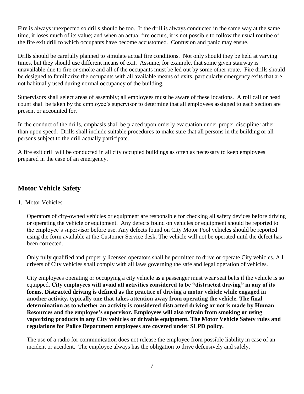Fire is always unexpected so drills should be too. If the drill is always conducted in the same way at the same time, it loses much of its value; and when an actual fire occurs, it is not possible to follow the usual routine of the fire exit drill to which occupants have become accustomed. Confusion and panic may ensue.

Drills should be carefully planned to simulate actual fire conditions. Not only should they be held at varying times, but they should use different means of exit. Assume, for example, that some given stairway is unavailable due to fire or smoke and all of the occupants must be led out by some other route. Fire drills should be designed to familiarize the occupants with all available means of exits, particularly emergency exits that are not habitually used during normal occupancy of the building.

Supervisors shall select areas of assembly; all employees must be aware of these locations. A roll call or head count shall be taken by the employee's supervisor to determine that all employees assigned to each section are present or accounted for.

In the conduct of the drills, emphasis shall be placed upon orderly evacuation under proper discipline rather than upon speed. Drills shall include suitable procedures to make sure that all persons in the building or all persons subject to the drill actually participate.

A fire exit drill will be conducted in all city occupied buildings as often as necessary to keep employees prepared in the case of an emergency.

#### **Motor Vehicle Safety**

1. Motor Vehicles

Operators of city-owned vehicles or equipment are responsible for checking all safety devices before driving or operating the vehicle or equipment. Any defects found on vehicles or equipment should be reported to the employee's supervisor before use. Any defects found on City Motor Pool vehicles should be reported using the form available at the Customer Service desk. The vehicle will not be operated until the defect has been corrected.

Only fully qualified and properly licensed operators shall be permitted to drive or operate City vehicles. All drivers of City vehicles shall comply with all laws governing the safe and legal operation of vehicles.

City employees operating or occupying a city vehicle as a passenger must wear seat belts if the vehicle is so equipped. **City employees will avoid all activities considered to be "distracted driving" in any of its forms. Distracted driving is defined as the practice of driving a motor vehicle while engaged in another activity, typically one that takes attention away from operating the vehicle. The final determination as to whether an activity is considered distracted driving or not is made by Human Resources and the employee's supervisor. Employees will also refrain from smoking or using vaporizing products in any City vehicles or drivable equipment. The Motor Vehicle Safety rules and regulations for Police Department employees are covered under SLPD policy.**

The use of a radio for communication does not release the employee from possible liability in case of an incident or accident. The employee always has the obligation to drive defensively and safely.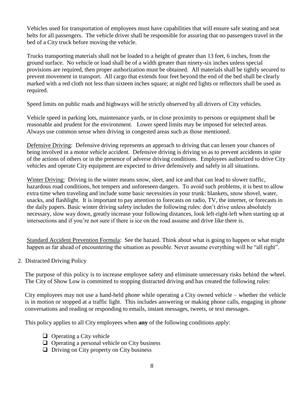Vehicles used for transportation of employees must have capabilities that will ensure safe seating and seat belts for all passengers. The vehicle driver shall be responsible for assuring that no passengers travel in the bed of a City truck before moving the vehicle.

Trucks transporting materials shall not be loaded to a height of greater than 13 feet, 6 inches, from the ground surface. No vehicle or load shall be of a width greater than ninety-six inches unless special provisions are required, then proper authorization must be obtained. All materials shall be tightly secured to prevent movement in transport. All cargo that extends four feet beyond the end of the bed shall be clearly marked with a red cloth not less than sixteen inches square; at night red lights or reflectors shall be used as required.

Speed limits on public roads and highways will be strictly observed by all drivers of City vehicles.

Vehicle speed in parking lots, maintenance yards, or in close proximity to persons or equipment shall be reasonable and prudent for the environment. Lower speed limits may be imposed for selected areas. Always use common sense when driving in congested areas such as those mentioned.

Defensive Driving: Defensive driving represents an approach to driving that can lessen your chances of being involved in a motor vehicle accident. Defensive driving is driving so as to prevent accidents in spite of the actions of others or in the presence of adverse driving conditions. Employees authorized to drive City vehicles and operate City equipment are expected to drive defensively and safely in all situations.

Winter Driving: Driving in the winter means snow, sleet, and ice and that can lead to slower traffic, hazardous road conditions, hot tempers and unforeseen dangers. To avoid such problems, it is best to allow extra time when traveling and include some basic necessities in your trunk: blankets, snow shovel, water, snacks, and flashlight. It is important to pay attention to forecasts on radio, TV, the internet, or forecasts in the daily papers. Basic winter driving safety includes the following rules: don't drive unless absolutely necessary, slow way down, greatly increase your following distances, look left-right-left when starting up at intersections and if you're not sure if there is ice on the road assume and drive like there is.

Standard Accident Prevention Formula: See the hazard. Think about what is going to happen or what might happen as far ahead of encountering the situation as possible. Never assume everything will be "all right".

2. Distracted Driving Policy

The purpose of this policy is to increase employee safety and eliminate unnecessary risks behind the wheel. The City of Show Low is committed to stopping distracted driving and has created the following rules:

City employees may not use a hand-held phone while operating a City owned vehicle – whether the vehicle is in motion or stopped at a traffic light. This includes answering or making phone calls, engaging in phone conversations and reading or responding to emails, instant messages, tweets, or text messages.

This policy applies to all City employees when **any** of the following conditions apply:

- $\Box$  Operating a City vehicle
- $\Box$  Operating a personal vehicle on City business
- $\Box$  Driving on City property on City business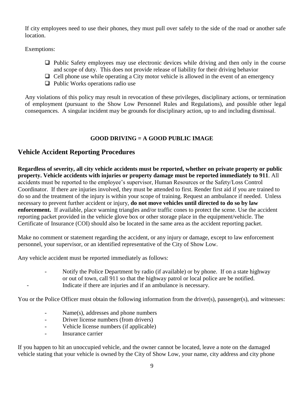If city employees need to use their phones, they must pull over safely to the side of the road or another safe location.

Exemptions:

- $\Box$  Public Safety employees may use electronic devices while driving and then only in the course and scope of duty. This does not provide release of liability for their driving behavior
- $\Box$  Cell phone use while operating a City motor vehicle is allowed in the event of an emergency
- $\Box$  Public Works operations radio use

Any violations of this policy may result in revocation of these privileges, disciplinary actions, or termination of employment (pursuant to the Show Low Personnel Rules and Regulations), and possible other legal consequences. A singular incident may be grounds for disciplinary action, up to and including dismissal.

#### **GOOD DRIVING = A GOOD PUBLIC IMAGE**

#### **Vehicle Accident Reporting Procedures**

**Regardless of severity, all city vehicle accidents must be reported, whether on private property or public property. Vehicle accidents with injuries or property damage must be reported immediately to 911**. All accidents must be reported to the employee's supervisor, Human Resources or the Safety/Loss Control Coordinator. If there are injuries involved, they must be attended to first. Render first aid if you are trained to do so and the treatment of the injury is within your scope of training. Request an ambulance if needed. Unless necessary to prevent further accident or injury, **do not move vehicles until directed to do so by law enforcement.** If available, place warning triangles and/or traffic cones to protect the scene. Use the accident reporting packet provided in the vehicle glove box or other storage place in the equipment/vehicle. The Certificate of Insurance (COI) should also be located in the same area as the accident reporting packet.

Make no comment or statement regarding the accident, or any injury or damage, except to law enforcement personnel, your supervisor, or an identified representative of the City of Show Low.

Any vehicle accident must be reported immediately as follows:

- Notify the Police Department by radio (if available) or by phone. If on a state highway or out of town, call 911 so that the highway patrol or local police are be notified. Indicate if there are injuries and if an ambulance is necessary.

You or the Police Officer must obtain the following information from the driver(s), passenger(s), and witnesses:

- Name(s), addresses and phone numbers
- Driver license numbers (from drivers)
- Vehicle license numbers (if applicable)
- Insurance carrier

If you happen to hit an unoccupied vehicle, and the owner cannot be located, leave a note on the damaged vehicle stating that your vehicle is owned by the City of Show Low, your name, city address and city phone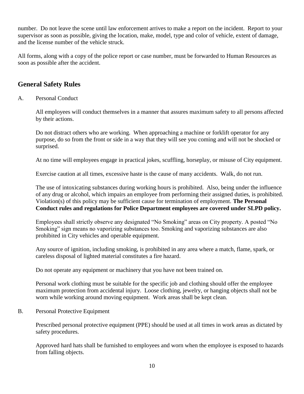number. Do not leave the scene until law enforcement arrives to make a report on the incident. Report to your supervisor as soon as possible, giving the location, make, model, type and color of vehicle, extent of damage, and the license number of the vehicle struck.

All forms, along with a copy of the police report or case number, must be forwarded to Human Resources as soon as possible after the accident.

#### **General Safety Rules**

#### A. Personal Conduct

All employees will conduct themselves in a manner that assures maximum safety to all persons affected by their actions.

Do not distract others who are working. When approaching a machine or forklift operator for any purpose, do so from the front or side in a way that they will see you coming and will not be shocked or surprised.

At no time will employees engage in practical jokes, scuffling, horseplay, or misuse of City equipment.

Exercise caution at all times, excessive haste is the cause of many accidents. Walk, do not run.

The use of intoxicating substances during working hours is prohibited. Also, being under the influence of any drug or alcohol, which impairs an employee from performing their assigned duties, is prohibited. Violation(s) of this policy may be sufficient cause for termination of employment. **The Personal Conduct rules and regulations for Police Department employees are covered under SLPD policy.**

Employees shall strictly observe any designated "No Smoking" areas on City property. A posted "No Smoking" sign means no vaporizing substances too. Smoking and vaporizing substances are also prohibited in City vehicles and operable equipment.

Any source of ignition, including smoking, is prohibited in any area where a match, flame, spark, or careless disposal of lighted material constitutes a fire hazard.

Do not operate any equipment or machinery that you have not been trained on.

Personal work clothing must be suitable for the specific job and clothing should offer the employee maximum protection from accidental injury. Loose clothing, jewelry, or hanging objects shall not be worn while working around moving equipment. Work areas shall be kept clean.

B. Personal Protective Equipment

Prescribed personal protective equipment (PPE) should be used at all times in work areas as dictated by safety procedures.

Approved hard hats shall be furnished to employees and worn when the employee is exposed to hazards from falling objects.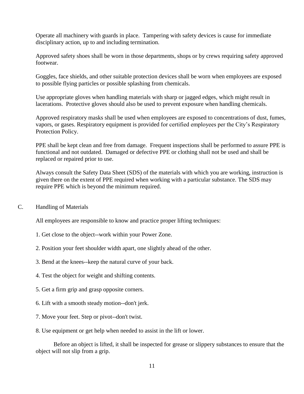Operate all machinery with guards in place. Tampering with safety devices is cause for immediate disciplinary action, up to and including termination.

Approved safety shoes shall be worn in those departments, shops or by crews requiring safety approved footwear.

Goggles, face shields, and other suitable protection devices shall be worn when employees are exposed to possible flying particles or possible splashing from chemicals.

Use appropriate gloves when handling materials with sharp or jagged edges, which might result in lacerations. Protective gloves should also be used to prevent exposure when handling chemicals.

Approved respiratory masks shall be used when employees are exposed to concentrations of dust, fumes, vapors, or gases. Respiratory equipment is provided for certified employees per the City's Respiratory Protection Policy.

PPE shall be kept clean and free from damage. Frequent inspections shall be performed to assure PPE is functional and not outdated. Damaged or defective PPE or clothing shall not be used and shall be replaced or repaired prior to use.

Always consult the Safety Data Sheet (SDS) of the materials with which you are working, instruction is given there on the extent of PPE required when working with a particular substance. The SDS may require PPE which is beyond the minimum required.

C. Handling of Materials

All employees are responsible to know and practice proper lifting techniques:

- 1. Get close to the object--work within your Power Zone.
- 2. Position your feet shoulder width apart, one slightly ahead of the other.
- 3. Bend at the knees--keep the natural curve of your back.
- 4. Test the object for weight and shifting contents.
- 5. Get a firm grip and grasp opposite corners.
- 6. Lift with a smooth steady motion--don't jerk.
- 7. Move your feet. Step or pivot--don't twist.

8. Use equipment or get help when needed to assist in the lift or lower.

Before an object is lifted, it shall be inspected for grease or slippery substances to ensure that the object will not slip from a grip.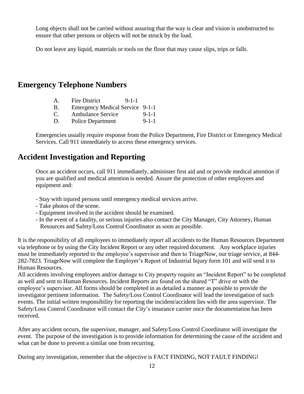Long objects shall not be carried without assuring that the way is clear and vision is unobstructed to ensure that other persons or objects will not be struck by the load.

Do not leave any liquid, materials or tools on the floor that may cause slips, trips or falls.

#### **Emergency Telephone Numbers**

- B. Emergency Medical Service 9-1-1
- C. Ambulance Service 9-1-1
- D. Police Department 9-1-1

Emergencies usually require response from the Police Department, Fire District or Emergency Medical Services. Call 911 immediately to access these emergency services.

## **Accident Investigation and Reporting**

Once an accident occurs, call 911 immediately, administer first aid and or provide medical attention if you are qualified and medical attention is needed. Assure the protection of other employees and equipment and:

- Stay with injured persons until emergency medical services arrive.
- Take photos of the scene.
- Equipment involved in the accident should be examined.
- In the event of a fatality, or serious injuries also contact the City Manager, City Attorney, Human Resources and Safety/Loss Control Coordinator as soon as possible.

It is the responsibility of all employees to immediately report all accidents to the Human Resources Department via telephone or by using the City Incident Report or any other required document. Any workplace injuries must be immediately reported to the employee's supervisor and then to TriageNow, our triage service, at 844-282-7823. TriageNow will complete the Employer's Report of Industrial Injury form 101 and will send it to Human Resources.

All accidents involving employees and/or damage to City property require an "Incident Report" to be completed as well and sent to Human Resources. Incident Reports are found on the shared "T" drive or with the employee's supervisor. All forms should be completed in as detailed a manner as possible to provide the investigator pertinent information. The Safety/Loss Control Coordinator will lead the investigation of such events. The initial written responsibility for reporting the incident/accident lies with the area supervisor. The Safety/Loss Control Coordinator will contact the City's insurance carrier once the documentation has been received.

After any accident occurs, the supervisor, manager, and Safety/Loss Control Coordinator will investigate the event. The purpose of the investigation is to provide information for determining the cause of the accident and what can be done to prevent a similar one from recurring.

During any investigation, remember that the objective is FACT FINDING, NOT FAULT FINDING!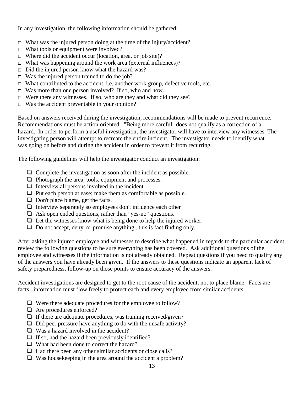In any investigation, the following information should be gathered:

- $\Box$  What was the injured person doing at the time of the injury/accident?
- $\Box$  What tools or equipment were involved?
- $\Box$  Where did the accident occur (location, area, or job site)?
- $\Box$  What was happening around the work area (external influences)?
- $\Box$  Did the injured person know what the hazard was?
- $\Box$  Was the injured person trained to do the job?
- $\Box$  What contributed to the accident, i.e. another work group, defective tools, etc.
- $\Box$  Was more than one person involved? If so, who and how.
- $\Box$  Were there any witnesses. If so, who are they and what did they see?
- $\Box$  Was the accident preventable in your opinion?

Based on answers received during the investigation, recommendations will be made to prevent recurrence. Recommendations must be action oriented. "Being more careful" does not qualify as a correction of a hazard. In order to perform a useful investigation, the investigator will have to interview any witnesses. The investigating person will attempt to recreate the entire incident. The investigator needs to identify what was going on before and during the accident in order to prevent it from recurring.

The following guidelines will help the investigator conduct an investigation:

- $\Box$  Complete the investigation as soon after the incident as possible.
- $\Box$  Photograph the area, tools, equipment and processes.
- $\Box$  Interview all persons involved in the incident.
- $\Box$  Put each person at ease; make them as comfortable as possible.
- $\Box$  Don't place blame, get the facts.
- $\Box$  Interview separately so employees don't influence each other
- $\Box$  Ask open ended questions, rather than "yes-no" questions.
- $\Box$  Let the witnesses know what is being done to help the injured worker.
- □ Do not accept, deny, or promise anything...this is fact finding only.

After asking the injured employee and witnesses to describe what happened in regards to the particular accident, review the following questions to be sure everything has been covered. Ask additional questions of the employee and witnesses if the information is not already obtained. Repeat questions if you need to qualify any of the answers you have already been given. If the answers to these questions indicate an apparent lack of safety preparedness, follow-up on those points to ensure accuracy of the answers.

Accident investigations are designed to get to the root cause of the accident, not to place blame. Facts are facts...information must flow freely to protect each and every employee from similar accidents.

- $\Box$  Were there adequate procedures for the employee to follow?
- □ Are procedures enforced?
- $\Box$  If there are adequate procedures, was training received/given?
- $\Box$  Did peer pressure have anything to do with the unsafe activity?
- $\Box$  Was a hazard involved in the accident?
- $\Box$  If so, had the hazard been previously identified?
- □ What had been done to correct the hazard?
- $\Box$  Had there been any other similar accidents or close calls?
- $\Box$  Was housekeeping in the area around the accident a problem?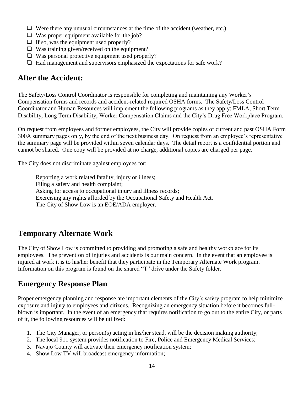- $\Box$  Were there any unusual circumstances at the time of the accident (weather, etc.)
- $\Box$  Was proper equipment available for the job?
- $\Box$  If so, was the equipment used properly?
- $\Box$  Was training given/received on the equipment?
- $\Box$  Was personal protective equipment used properly?
- $\Box$  Had management and supervisors emphasized the expectations for safe work?

## **After the Accident:**

The Safety/Loss Control Coordinator is responsible for completing and maintaining any Worker's Compensation forms and records and accident-related required OSHA forms. The Safety/Loss Control Coordinator and Human Resources will implement the following programs as they apply: FMLA, Short Term Disability, Long Term Disability, Worker Compensation Claims and the City's Drug Free Workplace Program.

On request from employees and former employees, the City will provide copies of current and past OSHA Form 300A summary pages only, by the end of the next business day. On request from an employee's representative the summary page will be provided within seven calendar days. The detail report is a confidential portion and cannot be shared. One copy will be provided at no charge, additional copies are charged per page.

The City does not discriminate against employees for:

Reporting a work related fatality, injury or illness; Filing a safety and health complaint; Asking for access to occupational injury and illness records; Exercising any rights afforded by the Occupational Safety and Health Act. The City of Show Low is an EOE/ADA employer.

## **Temporary Alternate Work**

The City of Show Low is committed to providing and promoting a safe and healthy workplace for its employees. The prevention of injuries and accidents is our main concern. In the event that an employee is injured at work it is to his/her benefit that they participate in the Temporary Alternate Work program. Information on this program is found on the shared "T" drive under the Safety folder.

## **Emergency Response Plan**

Proper emergency planning and response are important elements of the City's safety program to help minimize exposure and injury to employees and citizens. Recognizing an emergency situation before it becomes fullblown is important. In the event of an emergency that requires notification to go out to the entire City, or parts of it, the following resources will be utilized:

- 1. The City Manager, or person(s) acting in his/her stead, will be the decision making authority;
- 2. The local 911 system provides notification to Fire, Police and Emergency Medical Services;
- 3. Navajo County will activate their emergency notification system;
- 4. Show Low TV will broadcast emergency information;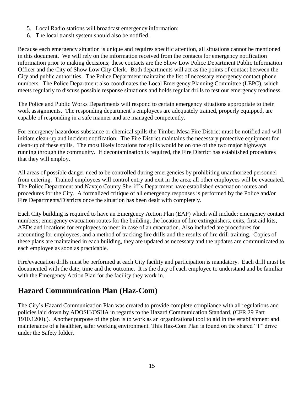- 5. Local Radio stations will broadcast emergency information;
- 6. The local transit system should also be notified.

Because each emergency situation is unique and requires specific attention, all situations cannot be mentioned in this document. We will rely on the information received from the contacts for emergency notification information prior to making decisions; these contacts are the Show Low Police Department Public Information Officer and the City of Show Low City Clerk. Both departments will act as the points of contact between the City and public authorities. The Police Department maintains the list of necessary emergency contact phone numbers. The Police Department also coordinates the Local Emergency Planning Committee (LEPC), which meets regularly to discuss possible response situations and holds regular drills to test our emergency readiness.

The Police and Public Works Departments will respond to certain emergency situations appropriate to their work assignments. The responding department's employees are adequately trained, properly equipped, are capable of responding in a safe manner and are managed competently.

For emergency hazardous substance or chemical spills the Timber Mesa Fire District must be notified and will initiate clean-up and incident notification. The Fire District maintains the necessary protective equipment for clean-up of these spills. The most likely locations for spills would be on one of the two major highways running through the community. If decontamination is required, the Fire District has established procedures that they will employ.

All areas of possible danger need to be controlled during emergencies by prohibiting unauthorized personnel from entering. Trained employees will control entry and exit in the area; all other employees will be evacuated. The Police Department and Navajo County Sheriff's Department have established evacuation routes and procedures for the City. A formalized critique of all emergency responses is performed by the Police and/or Fire Departments/Districts once the situation has been dealt with completely.

Each City building is required to have an Emergency Action Plan (EAP) which will include: emergency contact numbers; emergency evacuation routes for the building, the location of fire extinguishers, exits, first aid kits, AEDs and locations for employees to meet in case of an evacuation. Also included are procedures for accounting for employees, and a method of tracking fire drills and the results of fire drill training. Copies of these plans are maintained in each building, they are updated as necessary and the updates are communicated to each employee as soon as practicable.

Fire/evacuation drills must be performed at each City facility and participation is mandatory. Each drill must be documented with the date, time and the outcome. It is the duty of each employee to understand and be familiar with the Emergency Action Plan for the facility they work in.

## **Hazard Communication Plan (Haz-Com)**

The City's Hazard Communication Plan was created to provide complete compliance with all regulations and policies laid down by ADOSH/OSHA in regards to the Hazard Communication Standard, (CFR 29 Part 1910.1200).). Another purpose of the plan is to work as an organizational tool to aid in the establishment and maintenance of a healthier, safer working environment. This Haz-Com Plan is found on the shared "T" drive under the Safety folder.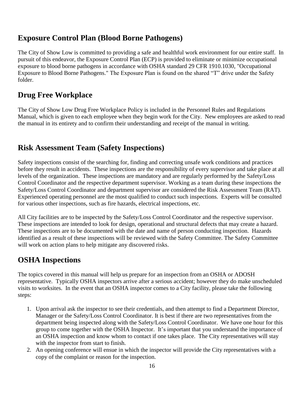## **Exposure Control Plan (Blood Borne Pathogens)**

The City of Show Low is committed to providing a safe and healthful work environment for our entire staff. In pursuit of this endeavor, the Exposure Control Plan (ECP) is provided to eliminate or minimize occupational exposure to blood borne pathogens in accordance with OSHA standard 29 CFR 1910.1030, "Occupational Exposure to Blood Borne Pathogens." The Exposure Plan is found on the shared "T" drive under the Safety folder.

## **Drug Free Workplace**

The City of Show Low Drug Free Workplace Policy is included in the Personnel Rules and Regulations Manual, which is given to each employee when they begin work for the City. New employees are asked to read the manual in its entirety and to confirm their understanding and receipt of the manual in writing.

## **Risk Assessment Team (Safety Inspections)**

Safety inspections consist of the searching for, finding and correcting unsafe work conditions and practices before they result in accidents. These inspections are the responsibility of every supervisor and take place at all levels of the organization. These inspections are mandatory and are regularly performed by the Safety/Loss Control Coordinator and the respective department supervisor. Working as a team during these inspections the Safety/Loss Control Coordinator and department supervisor are considered the Risk Assessment Team (RAT). Experienced operating personnel are the most qualified to conduct such inspections. Experts will be consulted for various other inspections, such as fire hazards, electrical inspections, etc.

All City facilities are to be inspected by the Safety/Loss Control Coordinator and the respective supervisor. These inspections are intended to look for design, operational and structural defects that may create a hazard. These inspections are to be documented with the date and name of person conducting inspection. Hazards identified as a result of these inspections will be reviewed with the Safety Committee. The Safety Committee will work on action plans to help mitigate any discovered risks.

## **OSHA Inspections**

The topics covered in this manual will help us prepare for an inspection from an OSHA or ADOSH representative. Typically OSHA inspectors arrive after a serious accident; however they do make unscheduled visits to worksites. In the event that an OSHA inspector comes to a City facility, please take the following steps:

- 1. Upon arrival ask the inspector to see their credentials, and then attempt to find a Department Director, Manager or the Safety/Loss Control Coordinator. It is best if there are two representatives from the department being inspected along with the Safety/Loss Control Coordinator. We have one hour for this group to come together with the OSHA Inspector. It's important that you understand the importance of an OSHA inspection and know whom to contact if one takes place. The City representatives will stay with the inspector from start to finish.
- 2. An opening conference will ensue in which the inspector will provide the City representatives with a copy of the complaint or reason for the inspection.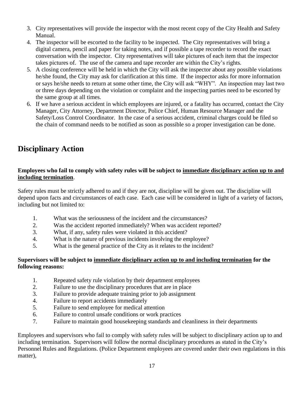- 3. City representatives will provide the inspector with the most recent copy of the City Health and Safety Manual.
- 4. The inspector will be escorted to the facility to be inspected. The City representatives will bring a digital camera, pencil and paper for taking notes, and if possible a tape recorder to record the exact conversation with the inspector. City representatives will take pictures of each item that the inspector takes pictures of. The use of the camera and tape recorder are within the City's rights.
- 5. A closing conference will be held in which the City will ask the inspector about any possible violations he/she found, the City may ask for clarification at this time. If the inspector asks for more information or says he/she needs to return at some other time, the City will ask "WHY". An inspection may last two or three days depending on the violation or complaint and the inspecting parties need to be escorted by the same group at all times.
- 6. If we have a serious accident in which employees are injured, or a fatality has occurred, contact the City Manager, City Attorney, Department Director, Police Chief, Human Resource Manager and the Safety/Loss Control Coordinator. In the case of a serious accident, criminal charges could be filed so the chain of command needs to be notified as soon as possible so a proper investigation can be done.

## **Disciplinary Action**

#### **Employees who fail to comply with safety rules will be subject to immediate disciplinary action up to and including termination**.

Safety rules must be strictly adhered to and if they are not, discipline will be given out. The discipline will depend upon facts and circumstances of each case. Each case will be considered in light of a variety of factors, including but not limited to:

- 1. What was the seriousness of the incident and the circumstances?
- 2. Was the accident reported immediately? When was accident reported?
- 3. What, if any, safety rules were violated in this accident?
- 4. What is the nature of previous incidents involving the employee?
- 5. What is the general practice of the City as it relates to the incident?

#### **Supervisors will be subject to immediate disciplinary action up to and including termination for the following reasons:**

- 1. Repeated safety rule violation by their department employees
- 2. Failure to use the disciplinary procedures that are in place
- 3. Failure to provide adequate training prior to job assignment
- 4. Failure to report accidents immediately
- 5. Failure to send employee for medical attention
- 6. Failure to control unsafe conditions or work practices
- 7. Failure to maintain good housekeeping standards and cleanliness in their departments

Employees and supervisors who fail to comply with safety rules will be subject to disciplinary action up to and including termination. Supervisors will follow the normal disciplinary procedures as stated in the City's Personnel Rules and Regulations. (Police Department employees are covered under their own regulations in this matter),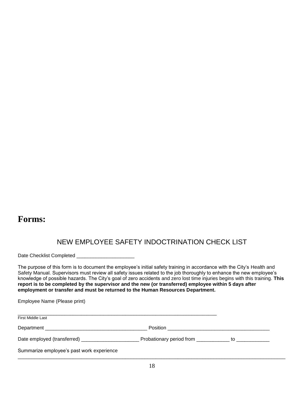## **Forms:**

## NEW EMPLOYEE SAFETY INDOCTRINATION CHECK LIST

Date Checklist Completed \_\_\_\_\_\_\_\_\_\_\_

The purpose of this form is to document the employee's initial safety training in accordance with the City's Health and Safety Manual. Supervisors must review all safety issues related to the job thoroughly to enhance the new employee's knowledge of possible hazards. The City's goal of zero accidents and zero lost time injuries begins with this training. **This report is to be completed by the supervisor and the new (or transferred) employee within 5 days after employment or transfer and must be returned to the Human Resources Department.**

Employee Name (Please print)

| <b>First Middle Last</b>                  |                                                            |  |
|-------------------------------------------|------------------------------------------------------------|--|
|                                           | Position __________________________                        |  |
|                                           | Probationary period from ______________ to _______________ |  |
| Summarize employee's past work experience |                                                            |  |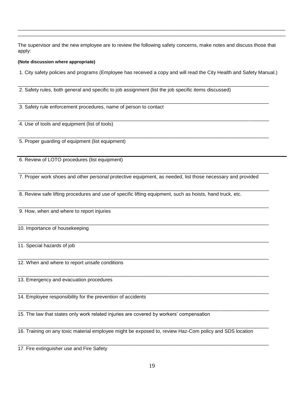The supervisor and the new employee are to review the following safety concerns, make notes and discuss those that apply:

 $\Box$ \_\_\_\_\_\_\_\_\_\_\_\_\_\_\_\_\_\_\_\_\_\_\_\_\_\_\_\_\_\_\_\_\_\_\_\_\_\_\_\_\_\_\_\_\_\_\_\_\_\_\_\_\_\_\_\_\_\_\_\_\_\_\_\_\_\_\_\_\_\_\_\_\_\_\_\_\_\_\_\_\_\_\_\_\_\_\_\_\_\_\_\_\_\_\_\_\_

#### **(Note discussion where appropriate)**

1. City safety policies and programs (Employee has received a copy and will read the City Health and Safety Manual.)

\_\_\_\_\_\_\_\_\_\_\_\_\_\_\_\_\_\_\_\_\_\_\_\_\_\_\_\_\_\_\_\_\_\_\_\_\_\_\_\_\_\_\_\_\_\_\_\_\_\_\_\_\_\_\_\_\_\_\_\_\_\_\_\_\_\_\_\_\_\_\_\_\_\_\_\_\_\_\_\_\_\_\_\_\_\_\_\_\_\_\_

\_\_\_\_\_\_\_\_\_\_\_\_\_\_\_\_\_\_\_\_\_\_\_\_\_\_\_\_\_\_\_\_\_\_\_\_\_\_\_\_\_\_\_\_\_\_\_\_\_\_\_\_\_\_\_\_\_\_\_\_\_\_\_\_\_\_\_\_\_\_\_\_\_\_\_\_\_\_\_\_\_\_\_\_\_\_\_\_\_\_\_

\_\_\_\_\_\_\_\_\_\_\_\_\_\_\_\_\_\_\_\_\_\_\_\_\_\_\_\_\_\_\_\_\_\_\_\_\_\_\_\_\_\_\_\_\_\_\_\_\_\_\_\_\_\_\_\_\_\_\_\_\_\_\_\_\_\_\_\_\_\_\_\_\_\_\_\_\_\_\_\_\_\_\_\_\_\_\_\_\_\_\_

\_\_\_\_\_\_\_\_\_\_\_\_\_\_\_\_\_\_\_\_\_\_\_\_\_\_\_\_\_\_\_\_\_\_\_\_\_\_\_\_\_\_\_\_\_\_\_\_\_\_\_\_\_\_\_\_\_\_\_\_\_\_\_\_\_\_\_\_\_\_\_\_\_\_\_\_\_\_\_\_\_\_\_\_\_\_\_\_\_\_\_

2. Safety rules, both general and specific to job assignment (list the job specific items discussed)

3. Safety rule enforcement procedures, name of person to contact

4. Use of tools and equipment (list of tools)

5. Proper guarding of equipment (list equipment)

6. Review of LOTO procedures (list equipment)

7. Proper work shoes and other personal protective equipment, as needed, list those necessary and provided

 $\Box \rightarrow \Box \rightarrow \Box$ 

 $\Box$ 

 $\Box$ 

 $\Box$ 

 $\Box$ 

 $\Box$ 

 $\Box$ 

8. Review safe lifting procedures and use of specific lifting equipment, such as hoists, hand truck, etc.

 $\Box$ 9. How, when and where to report injuries

10. Importance of housekeeping

11. Special hazards of job

12. When and where to report unsafe conditions

 $\Box$ 13. Emergency and evacuation procedures

 $\Box$ 14. Employee responsibility for the prevention of accidents

15. The law that states only work related injuries are covered by workers' compensation

\_\_\_\_\_\_\_\_\_\_\_\_\_\_\_\_\_\_\_\_\_\_\_\_\_\_\_\_\_\_\_\_\_\_\_\_\_\_\_\_\_\_\_\_\_\_\_\_\_\_\_\_\_\_\_\_\_\_\_\_\_\_\_\_\_\_\_\_\_\_\_\_\_\_\_\_\_\_\_\_\_\_\_\_\_\_\_\_\_\_\_ 16. Training on any toxic material employee might be exposed to, review Haz-Com policy and SDS location

17. Fire extinguisher use and Fire Safety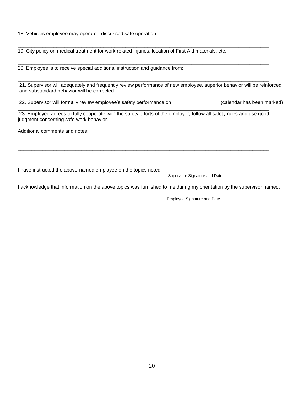18. Vehicles employee may operate - discussed safe operation

19. City policy on medical treatment for work related injuries, location of First Aid materials, etc.

20. Employee is to receive special additional instruction and guidance from:

\_\_\_\_\_\_\_\_\_\_\_\_\_\_\_\_\_\_\_\_\_\_\_\_\_\_\_\_\_\_\_\_\_\_\_\_\_\_\_\_\_\_\_\_\_\_\_\_\_\_\_\_\_\_\_\_\_\_\_\_\_\_\_\_\_\_\_\_\_\_\_\_\_\_\_\_\_\_\_\_\_\_\_\_\_\_\_\_\_\_\_ 21. Supervisor will adequately and frequently review performance of new employee, superior behavior will be reinforced and substandard behavior will be corrected

22. Supervisor will formally review employee's safety performance on example of calendar has been marked)

\_\_\_\_\_\_\_\_\_\_\_\_\_\_\_\_\_\_\_\_\_\_\_\_\_\_\_\_\_\_\_\_\_\_\_\_\_\_\_\_\_\_\_\_\_\_\_\_\_\_\_\_\_\_\_\_\_\_\_\_\_\_\_\_\_\_\_\_\_\_\_\_\_\_\_\_\_\_\_\_\_\_\_\_\_\_\_\_\_\_\_ 23. Employee agrees to fully cooperate with the safety efforts of the employer, follow all safety rules and use good judgment concerning safe work behavior.

\_\_\_\_\_\_\_\_\_\_\_\_\_\_\_\_\_\_\_\_\_\_\_\_\_\_\_\_\_\_\_\_\_\_\_\_\_\_\_\_\_\_\_\_\_\_\_\_\_\_\_\_\_\_\_\_\_\_\_\_\_\_\_\_\_\_\_\_\_\_\_\_\_\_\_\_\_\_\_\_\_\_\_\_\_\_\_\_\_\_

 $\Box \rightarrow \Box \rightarrow \Box$ 

 $\Box$ 

 $\Box$ 

 $\Box$ 

\_\_\_\_\_\_\_\_\_\_\_\_\_\_\_\_\_\_\_\_\_\_\_\_\_\_\_\_\_\_\_\_\_\_\_\_\_\_\_\_\_\_\_\_\_\_\_\_\_\_\_\_\_\_\_\_\_\_\_\_\_\_\_\_\_\_\_\_\_\_\_\_\_\_\_\_\_\_\_\_\_\_\_\_\_\_\_\_\_\_\_

 $\Box$ 

Additional comments and notes:

I have instructed the above-named employee on the topics noted.

Supervisor Signature and Date

I acknowledge that information on the above topics was furnished to me during my orientation by the supervisor named.

\_\_\_\_\_\_\_\_\_\_\_\_\_\_\_\_\_\_\_\_\_\_\_\_\_\_\_\_\_\_\_\_\_\_\_\_\_\_\_\_\_\_\_\_\_\_\_\_\_\_\_\_\_\_Employee Signature and Date